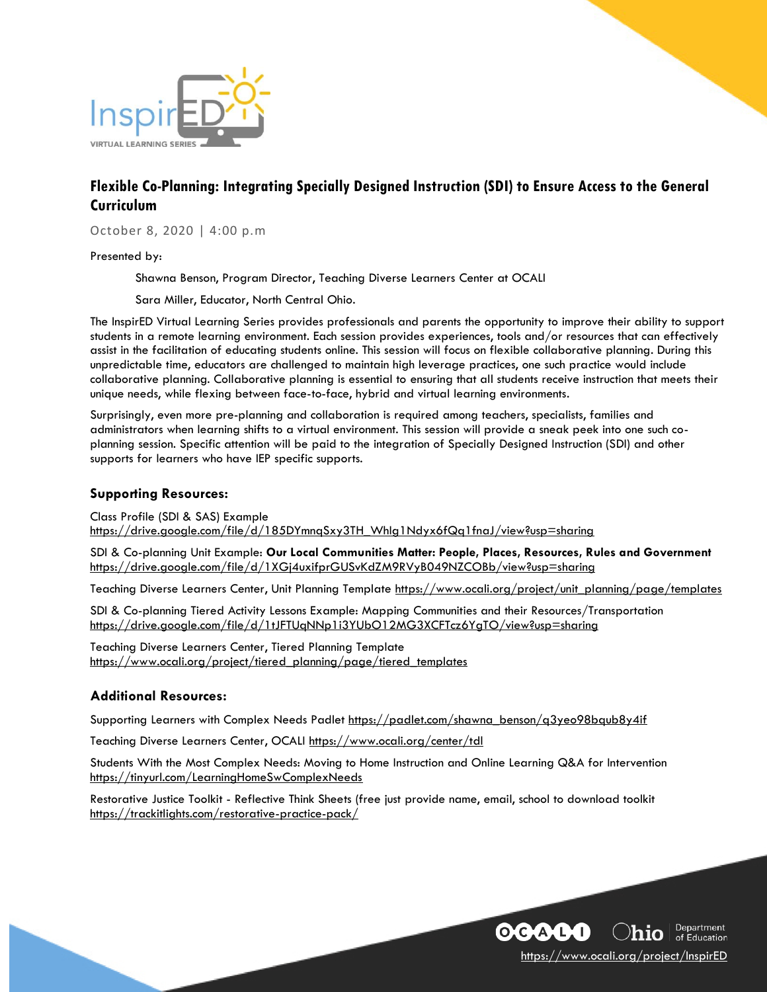

# **Flexible Co-Planning: Integrating Specially Designed Instruction (SDI) to Ensure Access to the General Curriculum**

October 8, 2020 | 4:00 p.m

Presented by:

Shawna Benson, Program Director, Teaching Diverse Learners Center at OCALI

Sara Miller, Educator, North Central Ohio.

The InspirED Virtual Learning Series provides professionals and parents the opportunity to improve their ability to support students in a remote learning environment. Each session provides experiences, tools and/or resources that can effectively assist in the facilitation of educating students online. This session will focus on flexible collaborative planning. During this unpredictable time, educators are challenged to maintain high leverage practices, one such practice would include collaborative planning. Collaborative planning is essential to ensuring that all students receive instruction that meets their unique needs, while flexing between face-to-face, hybrid and virtual learning environments.

Surprisingly, even more pre-planning and collaboration is required among teachers, specialists, families and administrators when learning shifts to a virtual environment. This session will provide a sneak peek into one such coplanning session. Specific attention will be paid to the integration of Specially Designed Instruction (SDI) and other supports for learners who have IEP specific supports.

### **Supporting Resources:**

Class Profile (SDI & SAS) Example [https://drive.google.com/file/d/185DYmnqSxy3TH\\_WhIg1Ndyx6fQq1fnaJ/view?usp=sharing](https://drive.google.com/file/d/185DYmnqSxy3TH_WhIg1Ndyx6fQq1fnaJ/view?usp=sharing)

SDI & Co-planning Unit Example: **Our Local Communities Matter: People, Places, Resources, Rules and Government** <https://drive.google.com/file/d/1XGj4uxifprGUSvKdZM9RVyB049NZCOBb/view?usp=sharing>

Teaching Diverse Learners Center, Unit Planning Template [https://www.ocali.org/project/unit\\_planning/page/templates](https://www.ocali.org/project/unit_planning/page/templates)

SDI & Co-planning Tiered Activity Lessons Example: Mapping Communities and their Resources/Transportation <https://drive.google.com/file/d/1tJFTUqNNp1i3YUbO12MG3XCFTcz6YgTO/view?usp=sharing>

Teaching Diverse Learners Center, Tiered Planning Template [https://www.ocali.org/project/tiered\\_planning/page/tiered\\_templates](https://www.ocali.org/project/tiered_planning/page/tiered_templates)

## **Additional Resources:**

Supporting Learners with Complex Needs Padlet [https://padlet.com/shawna\\_benson/q3yeo98bqub8y4if](https://padlet.com/shawna_benson/q3yeo98bqub8y4if)

Teaching Diverse Learners Center, OCALI <https://www.ocali.org/center/tdl>

Students With the Most Complex Needs: Moving to Home Instruction and Online Learning Q&A for Intervention <https://tinyurl.com/LearningHomeSwComplexNeeds>

Restorative Justice Toolkit - Reflective Think Sheets (free just provide name, email, school to download toolkit <https://trackitlights.com/restorative-practice-pack/>